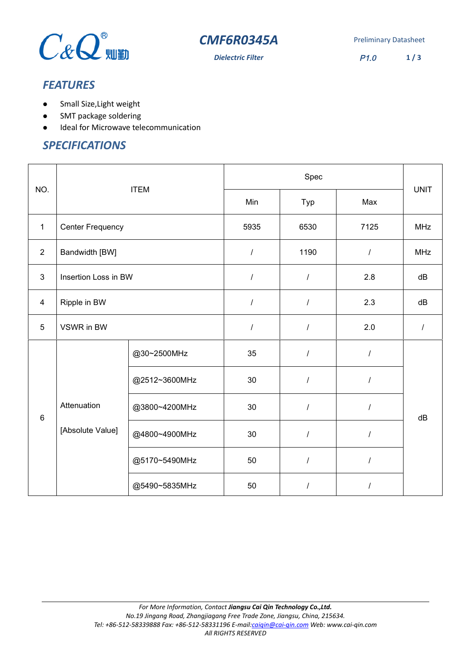



**Dielectric Filter** P1.0 **1 / 3**

# *FEATURES*

- Small Size,Light weight
- SMT package soldering
- $\bullet$  Ideal for Microwave telecommunication

## *SPECIFICATIONS*

| NO.            | <b>ITEM</b>             |               | Spec             |                |          |             |
|----------------|-------------------------|---------------|------------------|----------------|----------|-------------|
|                |                         |               | Min              | Typ            | Max      | <b>UNIT</b> |
| $\mathbf{1}$   | <b>Center Frequency</b> |               | 5935             | 6530           | 7125     | <b>MHz</b>  |
| $\overline{2}$ | Bandwidth [BW]          |               | $\boldsymbol{I}$ | 1190           | $\prime$ | <b>MHz</b>  |
| $\mathbf{3}$   | Insertion Loss in BW    |               | $\boldsymbol{I}$ | $\sqrt{2}$     | 2.8      | dB          |
| $\overline{4}$ | Ripple in BW            |               | $\cal I$         | $\overline{I}$ | 2.3      | dB          |
| 5              | VSWR in BW              |               | $\boldsymbol{I}$ | $\prime$       | 2.0      | $\prime$    |
| $6\phantom{a}$ |                         | @30~2500MHz   | 35               | $\sqrt{2}$     | $\prime$ |             |
|                |                         | @2512~3600MHz | 30               | $\prime$       | $\prime$ |             |
|                | Attenuation             | @3800~4200MHz | 30               | $\overline{I}$ | $\prime$ | dB          |
|                | [Absolute Value]        | @4800~4900MHz | 30               | $\overline{I}$ | 1        |             |
|                |                         | @5170~5490MHz | 50               | $\overline{I}$ | 1        |             |
|                |                         | @5490~5835MHz | 50               | $\prime$       | 1        |             |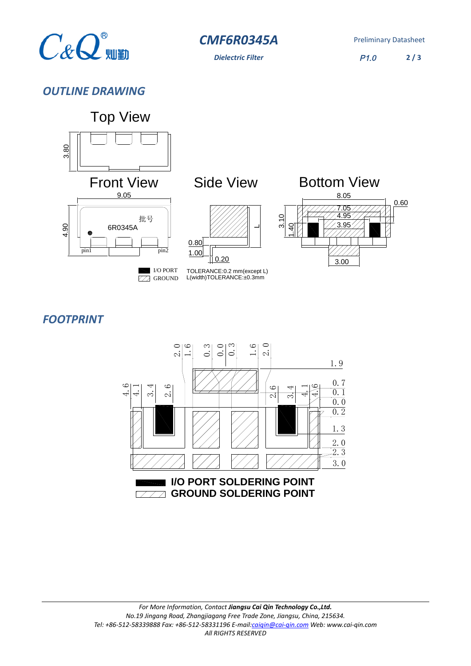

*CMF6R0345A* Preliminary Datasheet

*Dielectric Filter* P1.0 **2 / 3**

*OUTLINE DRAWING*



# *FOOTPRINT*